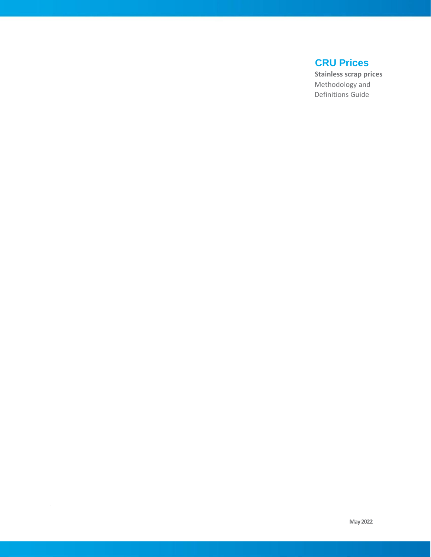## **CRU Prices**

 **Stainless scrap prices**  Methodology and Definitions Guide

B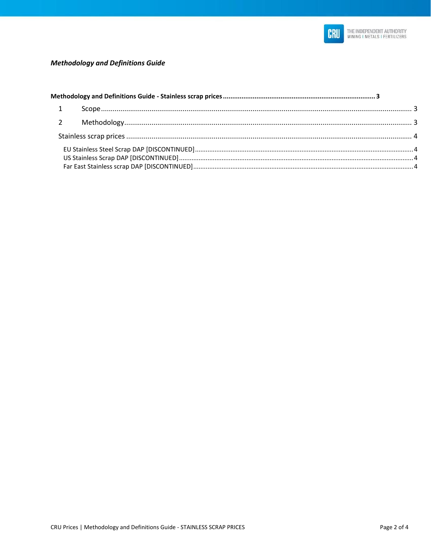

### **Methodology and Definitions Guide**

| $\overline{2}$ |  |  |  |
|----------------|--|--|--|
|                |  |  |  |
|                |  |  |  |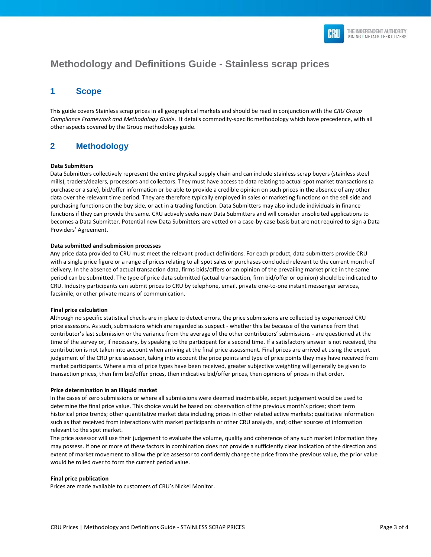

# <span id="page-2-0"></span>**Methodology and Definitions Guide - Stainless scrap prices**

### <span id="page-2-1"></span>**1 Scope**

This guide covers Stainless scrap prices in all geographical markets and should be read in conjunction with the *CRU Group Compliance Framework and Methodology Guide*. It details commodity-specific methodology which have precedence, with all other aspects covered by the Group methodology guide.

### <span id="page-2-2"></span>**2 Methodology**

#### **Data Submitters**

Data Submitters collectively represent the entire physical supply chain and can include stainless scrap buyers (stainless steel mills), traders/dealers, processors and collectors. They must have access to data relating to actual spot market transactions (a purchase or a sale), bid/offer information or be able to provide a credible opinion on such prices in the absence of any other data over the relevant time period. They are therefore typically employed in sales or marketing functions on the sell side and purchasing functions on the buy side, or act in a trading function. Data Submitters may also include individuals in finance functions if they can provide the same. CRU actively seeks new Data Submitters and will consider unsolicited applications to becomes a Data Submitter. Potential new Data Submitters are vetted on a case-by-case basis but are not required to sign a Data Providers' Agreement.

#### **Data submitted and submission processes**

Any price data provided to CRU must meet the relevant product definitions. For each product, data submitters provide CRU with a single price figure or a range of prices relating to all spot sales or purchases concluded relevant to the current month of delivery. In the absence of actual transaction data, firms bids/offers or an opinion of the prevailing market price in the same period can be submitted. The type of price data submitted (actual transaction, firm bid/offer or opinion) should be indicated to CRU. Industry participants can submit prices to CRU by telephone, email, private one-to-one instant messenger services, facsimile, or other private means of communication.

#### **Final price calculation**

Although no specific statistical checks are in place to detect errors, the price submissions are collected by experienced CRU price assessors. As such, submissions which are regarded as suspect - whether this be because of the variance from that contributor's last submission or the variance from the average of the other contributors' submissions - are questioned at the time of the survey or, if necessary, by speaking to the participant for a second time. If a satisfactory answer is not received, the contribution is not taken into account when arriving at the final price assessment. Final prices are arrived at using the expert judgement of the CRU price assessor, taking into account the price points and type of price points they may have received from market participants. Where a mix of price types have been received, greater subjective weighting will generally be given to transaction prices, then firm bid/offer prices, then indicative bid/offer prices, then opinions of prices in that order.

#### **Price determination in an illiquid market**

In the cases of zero submissions or where all submissions were deemed inadmissible, expert judgement would be used to determine the final price value. This choice would be based on: observation of the previous month's prices; short term historical price trends; other quantitative market data including prices in other related active markets; qualitative information such as that received from interactions with market participants or other CRU analysts, and; other sources of information relevant to the spot market.

The price assessor will use their judgement to evaluate the volume, quality and coherence of any such market information they may possess. If one or more of these factors in combination does not provide a sufficiently clear indication of the direction and extent of market movement to allow the price assessor to confidently change the price from the previous value, the prior value would be rolled over to form the current period value.

#### **Final price publication**

Prices are made available to customers of CRU's Nickel Monitor.